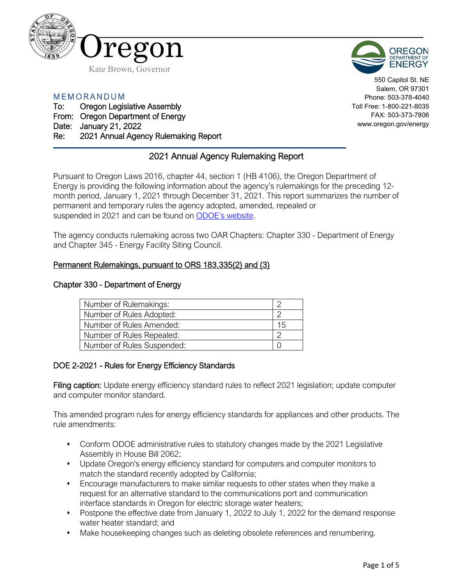



550 Capitol St. NE Salem, OR 97301 Phone: 503-378-4040 Toll Free: 1-800-221-8035 FAX: 503-373-7806 www.oregon.gov/energy

MEMORANDUM

# To: Oregon Legislative Assembly

From: Oregon Department of Energy

Date: January 21, 2022

Re: 2021 Annual Agency Rulemaking Report

# 2021 Annual Agency Rulemaking Report

Pursuant to Oregon Laws 2016, chapter 44, section 1 (HB 4106), the Oregon Department of Energy is providing the following information about the agency's rulemakings for the preceding 12 month period, January 1, 2021 through December 31, 2021. This report summarizes the number of permanent and temporary rules the agency adopted, amended, repealed or suspended in 2021 and can be found on [ODOE's website.](https://www.oregon.gov/energy/Get-Involved/Pages/Rulemaking.aspx)

The agency conducts rulemaking across two OAR Chapters: Chapter 330 - Department of Energy and Chapter 345 - Energy Facility Siting Council.

# Permanent Rulemakings, pursuant to ORS 183.335(2) and (3)

### Chapter 330 - Department of Energy

| Number of Rulemakings:     |    |
|----------------------------|----|
| Number of Rules Adopted:   |    |
| Number of Rules Amended:   | 15 |
| Number of Rules Repealed:  |    |
| Number of Rules Suspended: |    |

# DOE 2-2021 - Rules for Energy Efficiency Standards

Filing caption: Update energy efficiency standard rules to reflect 2021 legislation; update computer and computer monitor standard.

This amended program rules for energy efficiency standards for appliances and other products. The rule amendments:

- Conform ODOE administrative rules to statutory changes made by the 2021 Legislative Assembly in House Bill 2062;
- Update Oregon's energy efficiency standard for computers and computer monitors to match the standard recently adopted by California;
- Encourage manufacturers to make similar requests to other states when they make a request for an alternative standard to the communications port and communication interface standards in Oregon for electric storage water heaters;
- Postpone the effective date from January 1, 2022 to July 1, 2022 for the demand response water heater standard; and
- Make housekeeping changes such as deleting obsolete references and renumbering.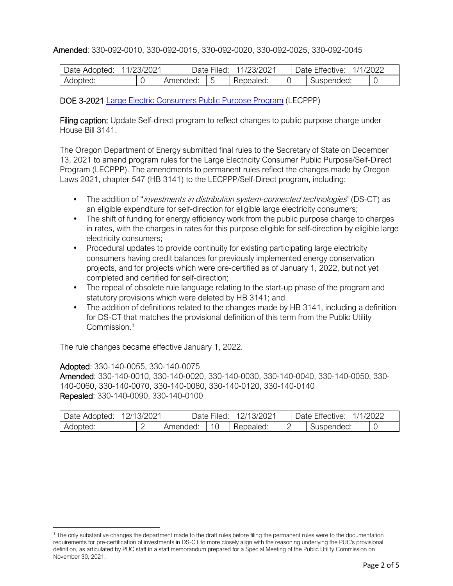# Amended: 330-092-0010, 330-092-0015, 330-092-0020, 330-092-0025, 330-092-0045

| Date Adopted: | 11/23/2021 |          | 11/23/2021<br>Jate<br>Filed: |  |           | 1/1/2022<br>Date Effective: |            |  |  |
|---------------|------------|----------|------------------------------|--|-----------|-----------------------------|------------|--|--|
| Adopted:      |            | Amended: |                              |  | Repealed: |                             | Suspended: |  |  |

# DOE 3-2021 [Large Electric Consumers Public Purpose Program](https://www.oregon.gov/energy/Get-Involved/Pages/LECPPP-Rulemaking.aspx#2021) (LECPPP)

Filing caption: Update Self-direct program to reflect changes to public purpose charge under House Bill 3141.

The Oregon Department of Energy submitted final rules to the Secretary of State on December 13, 2021 to amend program rules for the Large Electricity Consumer Public Purpose/Self-Direct Program (LECPPP). The amendments to permanent rules reflect the changes made by Oregon Laws 2021, chapter 547 (HB 3141) to the LECPPP/Self-Direct program, including:

- The addition of "*investments in distribution system-connected technologies*" (DS-CT) as an eligible expenditure for self-direction for eligible large electricity consumers;
- The shift of funding for energy efficiency work from the public purpose charge to charges in rates, with the charges in rates for this purpose eligible for self-direction by eligible large electricity consumers;
- Procedural updates to provide continuity for existing participating large electricity consumers having credit balances for previously implemented energy conservation projects, and for projects which were pre-certified as of January 1, 2022, but not yet completed and certified for self-direction;
- The repeal of obsolete rule language relating to the start-up phase of the program and statutory provisions which were deleted by HB 3141; and
- The addition of definitions related to the changes made by HB 3141, including a definition for DS-CT that matches the provisional definition of this term from the Public Utility Commission<sup>[1](#page-1-0)</sup>

The rule changes became effective January 1, 2022.

#### Adopted: 330-140-0055, 330-140-0075

Amended: 330-140-0010, 330-140-0020, 330-140-0030, 330-140-0040, 330-140-0050, 330- 140-0060, 330-140-0070, 330-140-0080, 330-140-0120, 330-140-0140 Repealed: 330-140-0090, 330-140-0100

| Date Adopted: | 3/2021<br>$12/1$ <sup>-</sup> | Jate '   | Filed: | 2/13/2021 |   | Date Effective: | /2022 |
|---------------|-------------------------------|----------|--------|-----------|---|-----------------|-------|
| Adopted:      | <u>_</u>                      | Amended: |        | Repealed: | _ | Suspended:      |       |

<span id="page-1-0"></span><sup>&</sup>lt;sup>1</sup> The only substantive changes the department made to the draft rules before filing the permanent rules were to the documentation requirements for pre-certification of investments in DS-CT to more closely align with the reasoning underlying the PUC's provisional definition, as articulated by PUC staff in a staff memorandum prepared for a Special Meeting of the Public Utility Commission on November 30, 2021.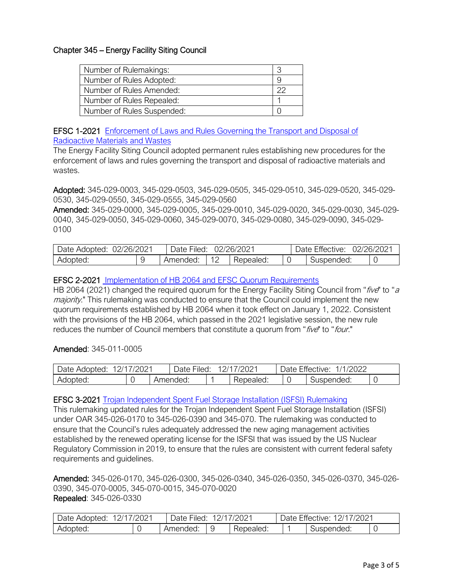# Chapter 345 – Energy Facility Siting Council

| Number of Rulemakings:     | C, |
|----------------------------|----|
| Number of Rules Adopted:   |    |
| Number of Rules Amended:   |    |
| Number of Rules Repealed:  |    |
| Number of Rules Suspended: |    |

#### EFSC 1-2021 [Enforcement of Laws and Rules Governing the Transport and Disposal of](https://www.oregon.gov/energy/Get-Involved/rulemakingdocs/EFSC-1-2021-Waste-Rulemaking.pdf)  [Radioactive Materials and Wastes](https://www.oregon.gov/energy/Get-Involved/rulemakingdocs/EFSC-1-2021-Waste-Rulemaking.pdf)

The Energy Facility Siting Council adopted permanent rules establishing new procedures for the enforcement of laws and rules governing the transport and disposal of radioactive materials and wastes.

Adopted: 345-029-0003, 345-029-0503, 345-029-0505, 345-029-0510, 345-029-0520, 345-029- 0530, 345-029-0550, 345-029-0555, 345-029-0560

Amended: 345-029-0000, 345-029-0005, 345-029-0010, 345-029-0020, 345-029-0030, 345-029- 0040, 345-029-0050, 345-029-0060, 345-029-0070, 345-029-0080, 345-029-0090, 345-029- 0100

| Date Adopted: | 02/26/2021 |          |                      | 02/26/2021 | 02/26/2021<br>Date Effective: |  |  |
|---------------|------------|----------|----------------------|------------|-------------------------------|--|--|
| Adopted:      |            | Amended: | $\overline{A}$<br>╵∠ | Repealed:  | Suspended:                    |  |  |

### EFSC 2-2021 [Implementation of HB 2064 and EFSC Quorum Requirements](https://www.oregon.gov/energy/Get-Involved/Pages/Energy-Facility-Siting-Council-Rulemaking.aspx#2064)

HB 2064 (2021) changed the required quorum for the Energy Facility Siting Council from "five" to "a majority." This rulemaking was conducted to ensure that the Council could implement the new quorum requirements established by HB 2064 when it took effect on January 1, 2022. Consistent with the provisions of the HB 2064, which passed in the 2021 legislative session, the new rule reduces the number of Council members that constitute a quorum from "five" to "four."

#### Amended: 345-011-0005

| Date Adopted: | 12/17/2021 | Date Filed: | 12/17/2021 | Date Effective:<br>1/1/2022 |  |
|---------------|------------|-------------|------------|-----------------------------|--|
| Adopted:      |            | Amended:    | Repealed:  | Suspended:                  |  |

#### EFSC 3-2021 [Trojan Independent Spent Fuel Storage Installation \(ISFSI\) Rulemaking](https://www.oregon.gov/energy/Get-Involved/Pages/Energy-Facility-Siting-Council-Rulemaking.aspx#2064)

This rulemaking updated rules for the Trojan Independent Spent Fuel Storage Installation (ISFSI) under OAR 345-026-0170 to 345-026-0390 and 345-070. The rulemaking was conducted to ensure that the Council's rules adequately addressed the new aging management activities established by the renewed operating license for the ISFSI that was issued by the US Nuclear Regulatory Commission in 2019, to ensure that the rules are consistent with current federal safety requirements and guidelines.

Amended: 345-026-0170, 345-026-0300, 345-026-0340, 345-026-0350, 345-026-0370, 345-026- 0390, 345-070-0005, 345-070-0015, 345-070-0020 Repealed: 345-026-0330

| Date Adopted:<br>2/1 | 7/2021 | Jate     | 72021<br>Filed: |           |  | $-$ cc<br>1/202 <sup>1</sup><br>2/1<br>)ate<br>Effective: |  |  |  |
|----------------------|--------|----------|-----------------|-----------|--|-----------------------------------------------------------|--|--|--|
| Adopted:             | ◡      | Amended: | Y               | Repealed: |  | Suspended:                                                |  |  |  |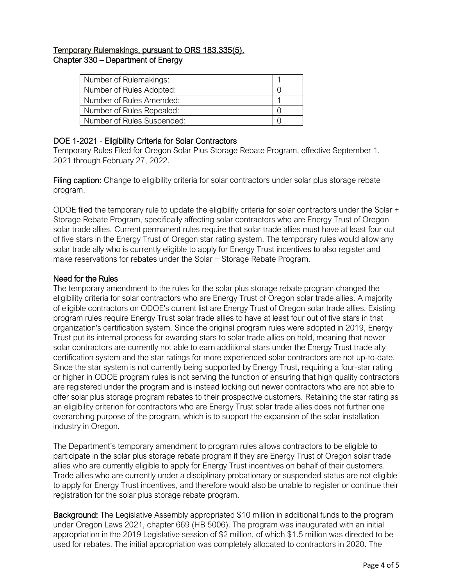# Temporary Rulemakings, pursuant to ORS 183.335(5). Chapter 330 – Department of Energy

| Number of Rulemakings:     |  |
|----------------------------|--|
| Number of Rules Adopted:   |  |
| Number of Rules Amended:   |  |
| Number of Rules Repealed:  |  |
| Number of Rules Suspended: |  |

### DOE 1-2021 - Eligibility Criteria for Solar Contractors

Temporary Rules Filed for Oregon Solar Plus Storage Rebate Program, effective September 1, 2021 through February 27, 2022.

Filing caption: Change to eligibility criteria for solar contractors under solar plus storage rebate program.

ODOE filed the temporary rule to update the eligibility criteria for solar contractors under the Solar + Storage Rebate Program, specifically affecting solar contractors who are Energy Trust of Oregon solar trade allies. Current permanent rules require that solar trade allies must have at least four out of five stars in the Energy Trust of Oregon star rating system. The temporary rules would allow any solar trade ally who is currently eligible to apply for Energy Trust incentives to also register and make reservations for rebates under the Solar + Storage Rebate Program.

#### Need for the Rules

The temporary amendment to the rules for the solar plus storage rebate program changed the eligibility criteria for solar contractors who are Energy Trust of Oregon solar trade allies. A majority of eligible contractors on ODOE's current list are Energy Trust of Oregon solar trade allies. Existing program rules require Energy Trust solar trade allies to have at least four out of five stars in that organization's certification system. Since the original program rules were adopted in 2019, Energy Trust put its internal process for awarding stars to solar trade allies on hold, meaning that newer solar contractors are currently not able to earn additional stars under the Energy Trust trade ally certification system and the star ratings for more experienced solar contractors are not up-to-date. Since the star system is not currently being supported by Energy Trust, requiring a four-star rating or higher in ODOE program rules is not serving the function of ensuring that high quality contractors are registered under the program and is instead locking out newer contractors who are not able to offer solar plus storage program rebates to their prospective customers. Retaining the star rating as an eligibility criterion for contractors who are Energy Trust solar trade allies does not further one overarching purpose of the program, which is to support the expansion of the solar installation industry in Oregon.

The Department's temporary amendment to program rules allows contractors to be eligible to participate in the solar plus storage rebate program if they are Energy Trust of Oregon solar trade allies who are currently eligible to apply for Energy Trust incentives on behalf of their customers. Trade allies who are currently under a disciplinary probationary or suspended status are not eligible to apply for Energy Trust incentives, and therefore would also be unable to register or continue their registration for the solar plus storage rebate program.

Background: The Legislative Assembly appropriated \$10 million in additional funds to the program under Oregon Laws 2021, chapter 669 (HB 5006). The program was inaugurated with an initial appropriation in the 2019 Legislative session of \$2 million, of which \$1.5 million was directed to be used for rebates. The initial appropriation was completely allocated to contractors in 2020. The